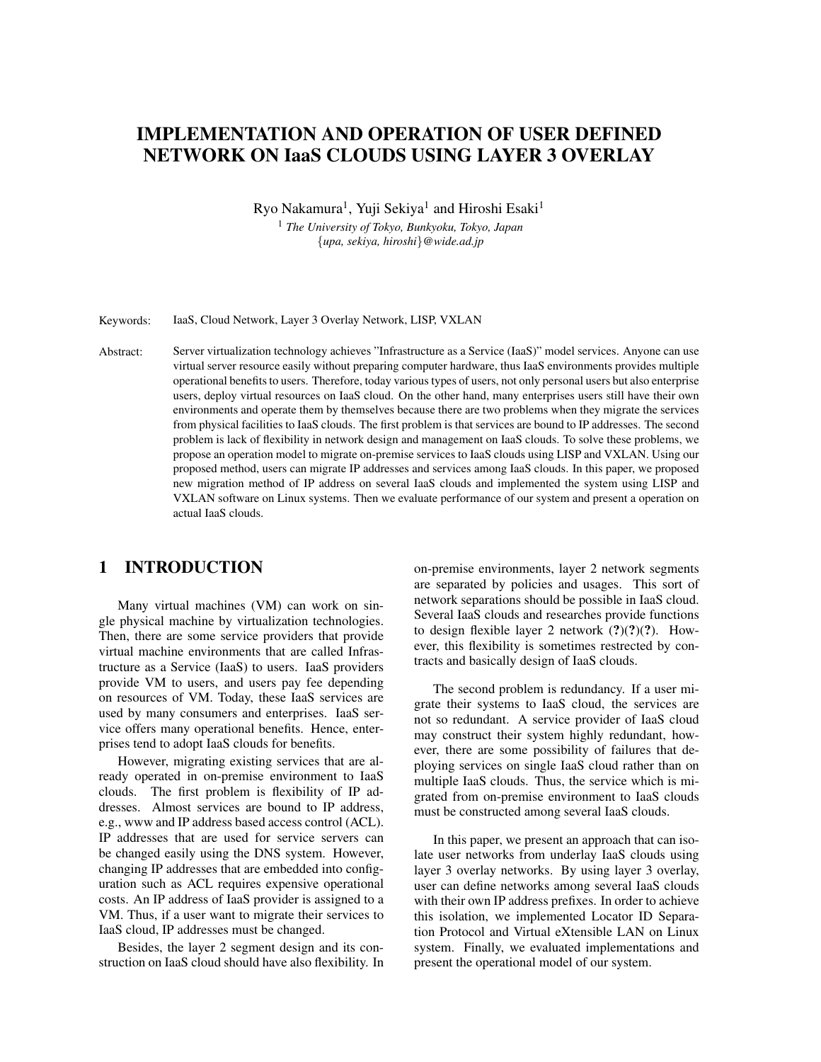# IMPLEMENTATION AND OPERATION OF USER DEFINED NETWORK ON IaaS CLOUDS USING LAYER 3 OVERLAY

Ryo Nakamura $^1$ , Yuji Sekiya $^1$  and Hiroshi Esaki $^1$ 

<sup>1</sup> *The University of Tokyo, Bunkyoku, Tokyo, Japan {upa, sekiya, hiroshi}@wide.ad.jp*

Keywords: IaaS, Cloud Network, Layer 3 Overlay Network, LISP, VXLAN

Abstract: Server virtualization technology achieves "Infrastructure as a Service (IaaS)" model services. Anyone can use virtual server resource easily without preparing computer hardware, thus IaaS environments provides multiple operational benefits to users. Therefore, today various types of users, not only personal users but also enterprise users, deploy virtual resources on IaaS cloud. On the other hand, many enterprises users still have their own environments and operate them by themselves because there are two problems when they migrate the services from physical facilities to IaaS clouds. The first problem is that services are bound to IP addresses. The second problem is lack of flexibility in network design and management on IaaS clouds. To solve these problems, we propose an operation model to migrate on-premise services to IaaS clouds using LISP and VXLAN. Using our proposed method, users can migrate IP addresses and services among IaaS clouds. In this paper, we proposed new migration method of IP address on several IaaS clouds and implemented the system using LISP and VXLAN software on Linux systems. Then we evaluate performance of our system and present a operation on actual IaaS clouds.

# 1 INTRODUCTION

Many virtual machines (VM) can work on single physical machine by virtualization technologies. Then, there are some service providers that provide virtual machine environments that are called Infrastructure as a Service (IaaS) to users. IaaS providers provide VM to users, and users pay fee depending on resources of VM. Today, these IaaS services are used by many consumers and enterprises. IaaS service offers many operational benefits. Hence, enterprises tend to adopt IaaS clouds for benefits.

However, migrating existing services that are already operated in on-premise environment to IaaS clouds. The first problem is flexibility of IP addresses. Almost services are bound to IP address, e.g., www and IP address based access control (ACL). IP addresses that are used for service servers can be changed easily using the DNS system. However, changing IP addresses that are embedded into configuration such as ACL requires expensive operational costs. An IP address of IaaS provider is assigned to a VM. Thus, if a user want to migrate their services to IaaS cloud, IP addresses must be changed.

Besides, the layer 2 segment design and its construction on IaaS cloud should have also flexibility. In on-premise environments, layer 2 network segments are separated by policies and usages. This sort of network separations should be possible in IaaS cloud. Several IaaS clouds and researches provide functions to design flexible layer 2 network  $(?) (?) (?)$ . However, this flexibility is sometimes restrected by contracts and basically design of IaaS clouds.

The second problem is redundancy. If a user migrate their systems to IaaS cloud, the services are not so redundant. A service provider of IaaS cloud may construct their system highly redundant, however, there are some possibility of failures that deploying services on single IaaS cloud rather than on multiple IaaS clouds. Thus, the service which is migrated from on-premise environment to IaaS clouds must be constructed among several IaaS clouds.

In this paper, we present an approach that can isolate user networks from underlay IaaS clouds using layer 3 overlay networks. By using layer 3 overlay, user can define networks among several IaaS clouds with their own IP address prefixes. In order to achieve this isolation, we implemented Locator ID Separation Protocol and Virtual eXtensible LAN on Linux system. Finally, we evaluated implementations and present the operational model of our system.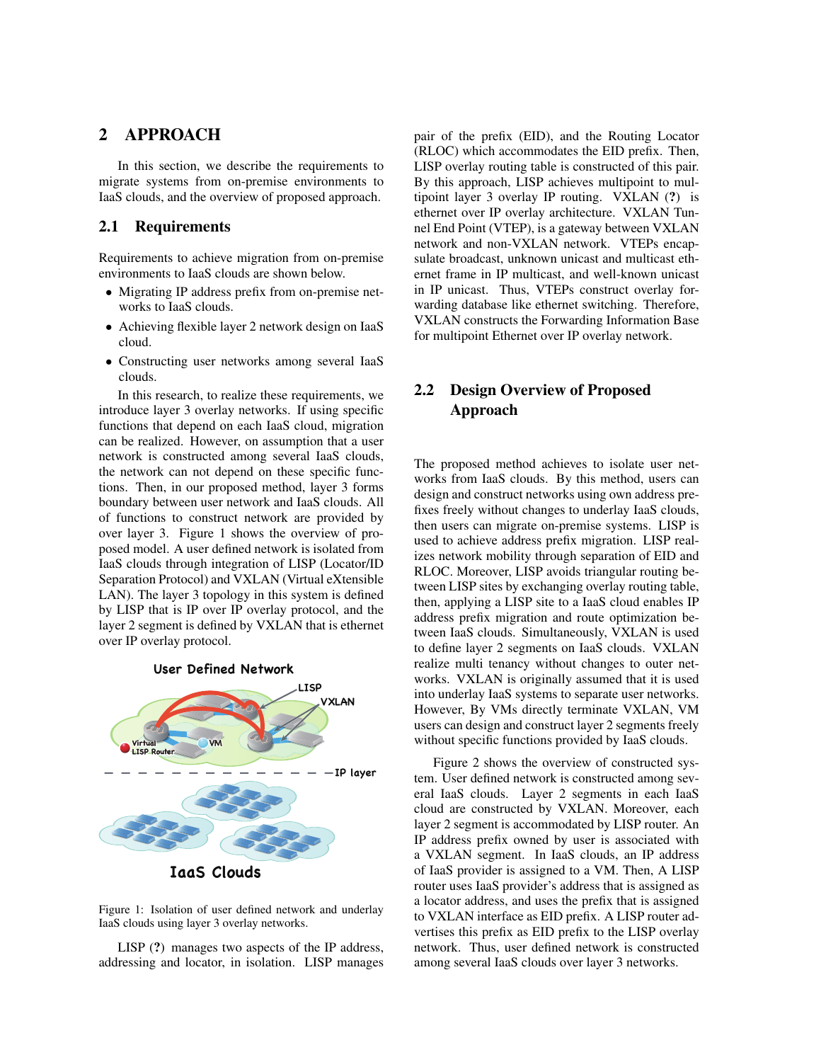## 2 APPROACH

In this section, we describe the requirements to migrate systems from on-premise environments to IaaS clouds, and the overview of proposed approach.

#### 2.1 Requirements

Requirements to achieve migration from on-premise environments to IaaS clouds are shown below.

- *•* Migrating IP address prefix from on-premise networks to IaaS clouds.
- Achieving flexible layer 2 network design on IaaS cloud.
- *•* Constructing user networks among several IaaS clouds.

In this research, to realize these requirements, we introduce layer 3 overlay networks. If using specific functions that depend on each IaaS cloud, migration can be realized. However, on assumption that a user network is constructed among several IaaS clouds, the network can not depend on these specific functions. Then, in our proposed method, layer 3 forms boundary between user network and IaaS clouds. All of functions to construct network are provided by over layer 3. Figure 1 shows the overview of proposed model. A user defined network is isolated from IaaS clouds through integration of LISP (Locator/ID Separation Protocol) and VXLAN (Virtual eXtensible LAN). The layer 3 topology in this system is defined by LISP that is IP over IP overlay protocol, and the layer 2 segment is defined by VXLAN that is ethernet over IP overlay protocol.



**IaaS Clouds**

Figure 1: Isolation of user defined network and underlay IaaS clouds using layer 3 overlay networks.

LISP (?) manages two aspects of the IP address, addressing and locator, in isolation. LISP manages pair of the prefix (EID), and the Routing Locator (RLOC) which accommodates the EID prefix. Then, LISP overlay routing table is constructed of this pair. By this approach, LISP achieves multipoint to multipoint layer 3 overlay IP routing. VXLAN (?) is ethernet over IP overlay architecture. VXLAN Tunnel End Point (VTEP), is a gateway between VXLAN network and non-VXLAN network. VTEPs encapsulate broadcast, unknown unicast and multicast ethernet frame in IP multicast, and well-known unicast in IP unicast. Thus, VTEPs construct overlay forwarding database like ethernet switching. Therefore, VXLAN constructs the Forwarding Information Base for multipoint Ethernet over IP overlay network.

# 2.2 Design Overview of Proposed Approach

The proposed method achieves to isolate user networks from IaaS clouds. By this method, users can design and construct networks using own address prefixes freely without changes to underlay IaaS clouds, then users can migrate on-premise systems. LISP is used to achieve address prefix migration. LISP realizes network mobility through separation of EID and RLOC. Moreover, LISP avoids triangular routing between LISP sites by exchanging overlay routing table, then, applying a LISP site to a IaaS cloud enables IP address prefix migration and route optimization between IaaS clouds. Simultaneously, VXLAN is used to define layer 2 segments on IaaS clouds. VXLAN realize multi tenancy without changes to outer networks. VXLAN is originally assumed that it is used into underlay IaaS systems to separate user networks. However, By VMs directly terminate VXLAN, VM users can design and construct layer 2 segments freely without specific functions provided by IaaS clouds.

Figure 2 shows the overview of constructed system. User defined network is constructed among several IaaS clouds. Layer 2 segments in each IaaS cloud are constructed by VXLAN. Moreover, each layer 2 segment is accommodated by LISP router. An IP address prefix owned by user is associated with a VXLAN segment. In IaaS clouds, an IP address of IaaS provider is assigned to a VM. Then, A LISP router uses IaaS provider's address that is assigned as a locator address, and uses the prefix that is assigned to VXLAN interface as EID prefix. A LISP router advertises this prefix as EID prefix to the LISP overlay network. Thus, user defined network is constructed among several IaaS clouds over layer 3 networks.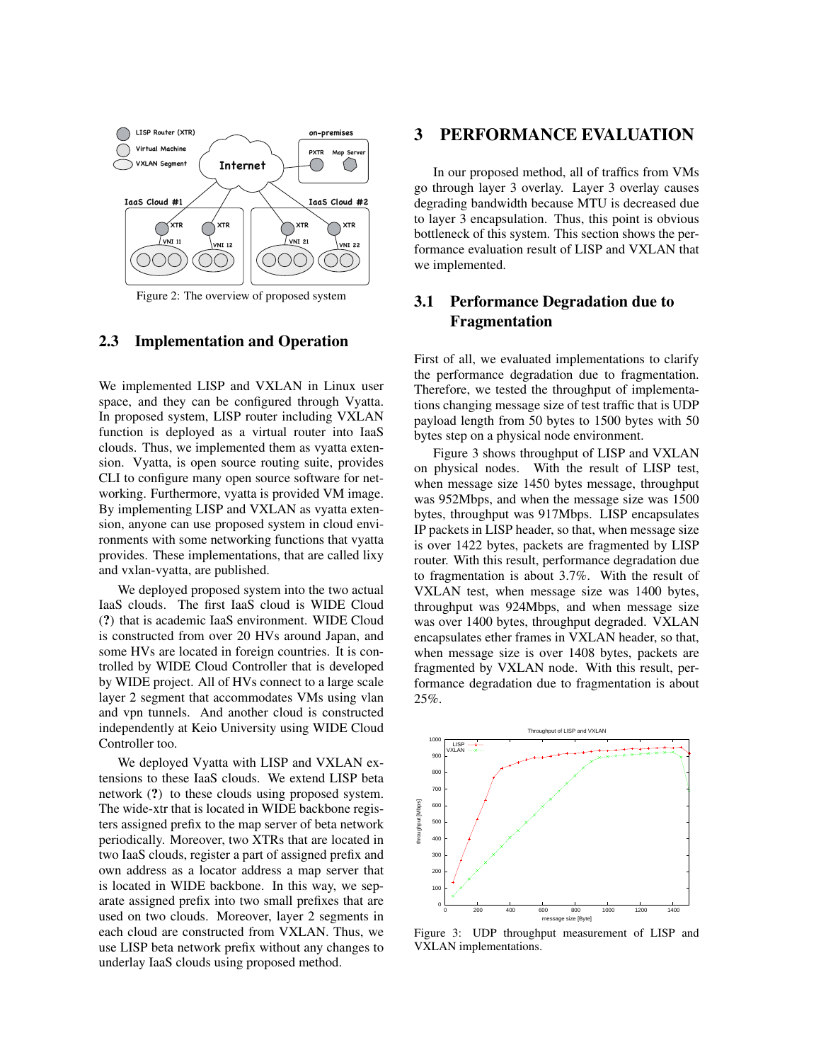

Figure 2: The overview of proposed system

#### 2.3 Implementation and Operation

We implemented LISP and VXLAN in Linux user space, and they can be configured through Vyatta. In proposed system, LISP router including VXLAN function is deployed as a virtual router into IaaS clouds. Thus, we implemented them as vyatta extension. Vyatta, is open source routing suite, provides CLI to configure many open source software for networking. Furthermore, vyatta is provided VM image. By implementing LISP and VXLAN as vyatta extension, anyone can use proposed system in cloud environments with some networking functions that vyatta provides. These implementations, that are called lixy and vxlan-vyatta, are published.

We deployed proposed system into the two actual IaaS clouds. The first IaaS cloud is WIDE Cloud (?) that is academic IaaS environment. WIDE Cloud is constructed from over 20 HVs around Japan, and some HVs are located in foreign countries. It is controlled by WIDE Cloud Controller that is developed by WIDE project. All of HVs connect to a large scale layer 2 segment that accommodates VMs using vlan and vpn tunnels. And another cloud is constructed independently at Keio University using WIDE Cloud Controller too.

We deployed Vyatta with LISP and VXLAN extensions to these IaaS clouds. We extend LISP beta network (?) to these clouds using proposed system. The wide-xtr that is located in WIDE backbone registers assigned prefix to the map server of beta network periodically. Moreover, two XTRs that are located in two IaaS clouds, register a part of assigned prefix and own address as a locator address a map server that is located in WIDE backbone. In this way, we separate assigned prefix into two small prefixes that are used on two clouds. Moreover, layer 2 segments in each cloud are constructed from VXLAN. Thus, we use LISP beta network prefix without any changes to underlay IaaS clouds using proposed method.

## 3 PERFORMANCE EVALUATION

In our proposed method, all of traffics from VMs go through layer 3 overlay. Layer 3 overlay causes degrading bandwidth because MTU is decreased due to layer 3 encapsulation. Thus, this point is obvious bottleneck of this system. This section shows the performance evaluation result of LISP and VXLAN that we implemented.

# 3.1 Performance Degradation due to Fragmentation

First of all, we evaluated implementations to clarify the performance degradation due to fragmentation. Therefore, we tested the throughput of implementations changing message size of test traffic that is UDP payload length from 50 bytes to 1500 bytes with 50 bytes step on a physical node environment.

Figure 3 shows throughput of LISP and VXLAN on physical nodes. With the result of LISP test, when message size 1450 bytes message, throughput was 952Mbps, and when the message size was 1500 bytes, throughput was 917Mbps. LISP encapsulates IP packets in LISP header, so that, when message size is over 1422 bytes, packets are fragmented by LISP router. With this result, performance degradation due to fragmentation is about 3.7%. With the result of VXLAN test, when message size was 1400 bytes, throughput was 924Mbps, and when message size was over 1400 bytes, throughput degraded. VXLAN encapsulates ether frames in VXLAN header, so that, when message size is over 1408 bytes, packets are fragmented by VXLAN node. With this result, performance degradation due to fragmentation is about 25%.



Figure 3: UDP throughput measurement of LISP and VXLAN implementations.